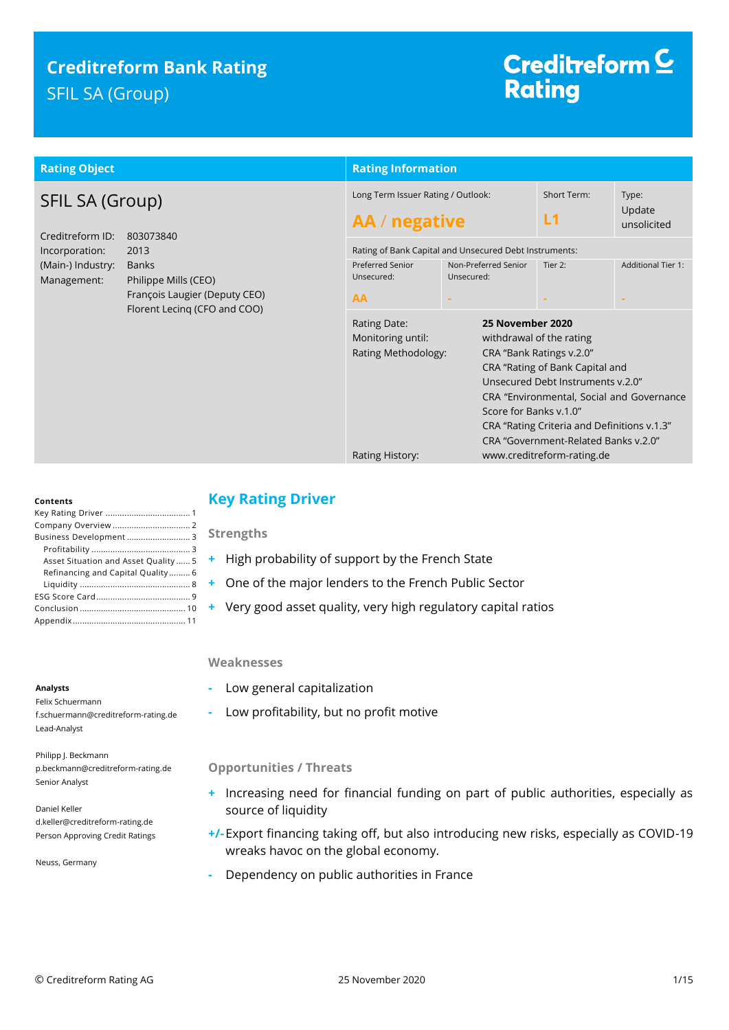# **Creditreform Bank Rating** SFIL SA (Group)

# Creditreform<sup>C</sup> **Rating**

| <b>Rating Object</b>                                                                                                                                                                                                           |                                                                             | <b>Rating Information</b>                  |                                                                                                                                                                                                                                                                                                |                                |  |  |
|--------------------------------------------------------------------------------------------------------------------------------------------------------------------------------------------------------------------------------|-----------------------------------------------------------------------------|--------------------------------------------|------------------------------------------------------------------------------------------------------------------------------------------------------------------------------------------------------------------------------------------------------------------------------------------------|--------------------------------|--|--|
| <b>SFIL SA (Group)</b><br>Creditreform ID:<br>803073840<br>Incorporation:<br>2013<br>(Main-) Industry:<br><b>Banks</b><br>Management:<br>Philippe Mills (CEO)<br>François Laugier (Deputy CEO)<br>Florent Lecing (CFO and COO) | Long Term Issuer Rating / Outlook:<br>AA / negative                         |                                            | Short Term:<br>L1                                                                                                                                                                                                                                                                              | Type:<br>Update<br>unsolicited |  |  |
|                                                                                                                                                                                                                                | Rating of Bank Capital and Unsecured Debt Instruments:                      |                                            |                                                                                                                                                                                                                                                                                                |                                |  |  |
|                                                                                                                                                                                                                                | <b>Preferred Senior</b><br>Unsecured:                                       | Non-Preferred Senior<br>Unsecured:         | Tier 2:                                                                                                                                                                                                                                                                                        | <b>Additional Tier 1:</b>      |  |  |
|                                                                                                                                                                                                                                | AA                                                                          |                                            |                                                                                                                                                                                                                                                                                                |                                |  |  |
|                                                                                                                                                                                                                                | Rating Date:<br>Monitoring until:<br>Rating Methodology:<br>Rating History: | 25 November 2020<br>Score for Banks v.1.0" | withdrawal of the rating<br>CRA "Bank Ratings v.2.0"<br>CRA "Rating of Bank Capital and<br>Unsecured Debt Instruments v.2.0"<br>CRA "Environmental, Social and Governance<br>CRA "Rating Criteria and Definitions v.1.3"<br>CRA "Government-Related Banks v.2.0"<br>www.creditreform-rating.de |                                |  |  |

### **Contents**

| Business Development 3               |
|--------------------------------------|
|                                      |
| Asset Situation and Asset Quality  5 |
| Refinancing and Capital Quality 6    |
|                                      |
|                                      |
|                                      |
|                                      |

#### **Analysts**

Felix Schuermann f.schuermann@creditreform-rating.de Lead-Analyst

Philipp J. Beckmann p.beckmann@creditreform-rating.de Senior Analyst

Daniel Keller d.keller@creditreform-rating.de Person Approving Credit Ratings

Neuss, Germany

# <span id="page-0-0"></span>**Key Rating Driver**

## **Strengths**

- **+** High probability of support by the French State
- **+** One of the major lenders to the French Public Sector
- **+** Very good asset quality, very high regulatory capital ratios

#### **Weaknesses**

- **-** Low general capitalization
- **-** Low profitability, but no profit motive

## **Opportunities / Threats**

- **+** Increasing need for financial funding on part of public authorities, especially as source of liquidity
- **+/-**Export financing taking off, but also introducing new risks, especially as COVID-19 wreaks havoc on the global economy.
- <span id="page-0-1"></span>**-** Dependency on public authorities in France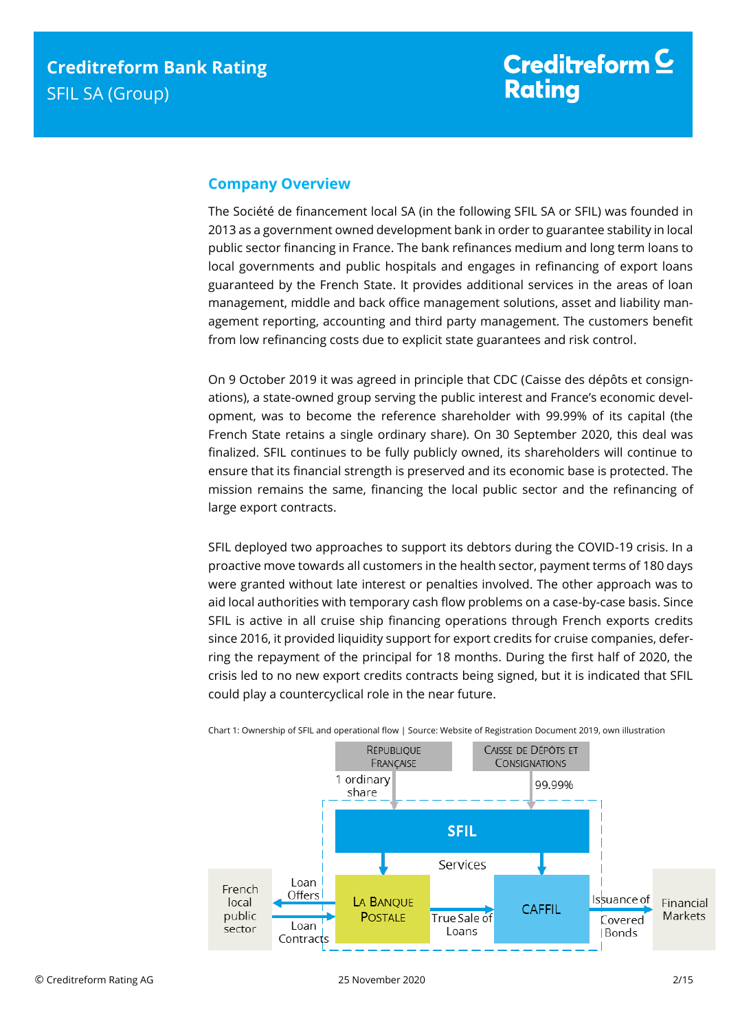## **Company Overview**

The Société de financement local SA (in the following SFIL SA or SFIL) was founded in 2013 as a government owned development bank in order to guarantee stability in local public sector financing in France. The bank refinances medium and long term loans to local governments and public hospitals and engages in refinancing of export loans guaranteed by the French State. It provides additional services in the areas of loan management, middle and back office management solutions, asset and liability management reporting, accounting and third party management. The customers benefit from low refinancing costs due to explicit state guarantees and risk control.

On 9 October 2019 it was agreed in principle that CDC (Caisse des dépôts et consignations), a state-owned group serving the public interest and France's economic development, was to become the reference shareholder with 99.99% of its capital (the French State retains a single ordinary share). On 30 September 2020, this deal was finalized. SFIL continues to be fully publicly owned, its shareholders will continue to ensure that its financial strength is preserved and its economic base is protected. The mission remains the same, financing the local public sector and the refinancing of large export contracts.

SFIL deployed two approaches to support its debtors during the COVID-19 crisis. In a proactive move towards all customers in the health sector, payment terms of 180 days were granted without late interest or penalties involved. The other approach was to aid local authorities with temporary cash flow problems on a case-by-case basis. Since SFIL is active in all cruise ship financing operations through French exports credits since 2016, it provided liquidity support for export credits for cruise companies, deferring the repayment of the principal for 18 months. During the first half of 2020, the crisis led to no new export credits contracts being signed, but it is indicated that SFIL could play a countercyclical role in the near future.



Chart 1: Ownership of SFIL and operational flow | Source: Website of Registration Document 2019, own illustration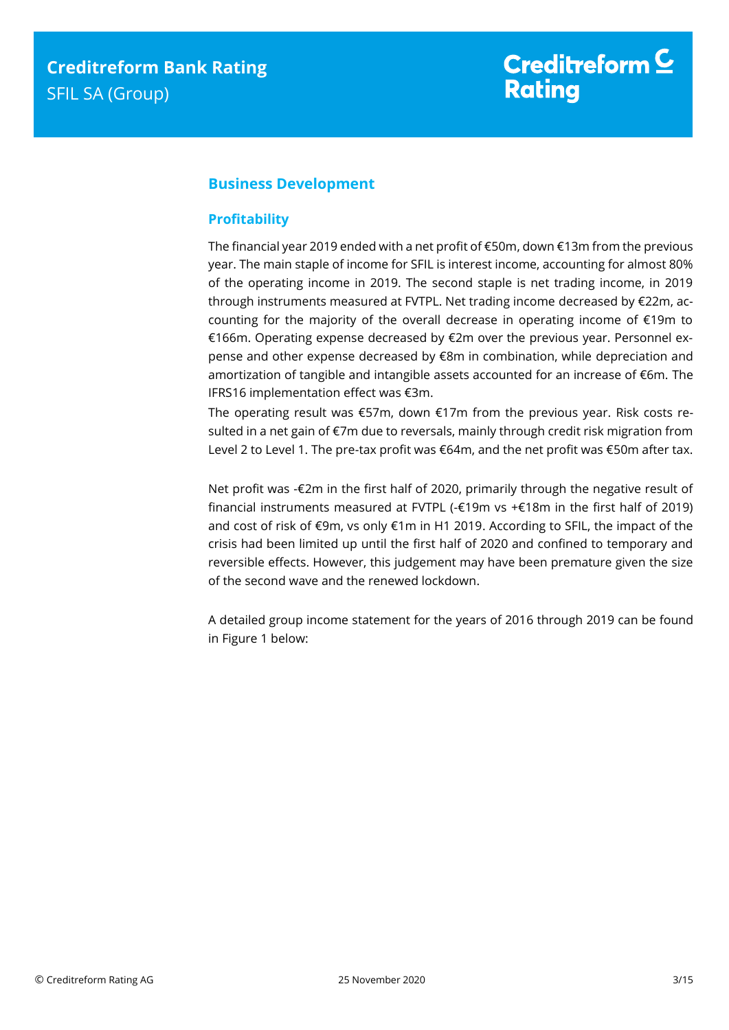# <span id="page-2-0"></span>**Business Development**

## <span id="page-2-1"></span>**Profitability**

The financial year 2019 ended with a net profit of €50m, down €13m from the previous year. The main staple of income for SFIL is interest income, accounting for almost 80% of the operating income in 2019. The second staple is net trading income, in 2019 through instruments measured at FVTPL. Net trading income decreased by €22m, accounting for the majority of the overall decrease in operating income of €19m to €166m. Operating expense decreased by €2m over the previous year. Personnel expense and other expense decreased by €8m in combination, while depreciation and amortization of tangible and intangible assets accounted for an increase of €6m. The IFRS16 implementation effect was €3m.

The operating result was €57m, down €17m from the previous year. Risk costs resulted in a net gain of €7m due to reversals, mainly through credit risk migration from Level 2 to Level 1. The pre-tax profit was €64m, and the net profit was €50m after tax.

Net profit was -€2m in the first half of 2020, primarily through the negative result of financial instruments measured at FVTPL (-€19m vs +€18m in the first half of 2019) and cost of risk of €9m, vs only €1m in H1 2019. According to SFIL, the impact of the crisis had been limited up until the first half of 2020 and confined to temporary and reversible effects. However, this judgement may have been premature given the size of the second wave and the renewed lockdown.

A detailed group income statement for the years of 2016 through 2019 can be found in Figure 1 below: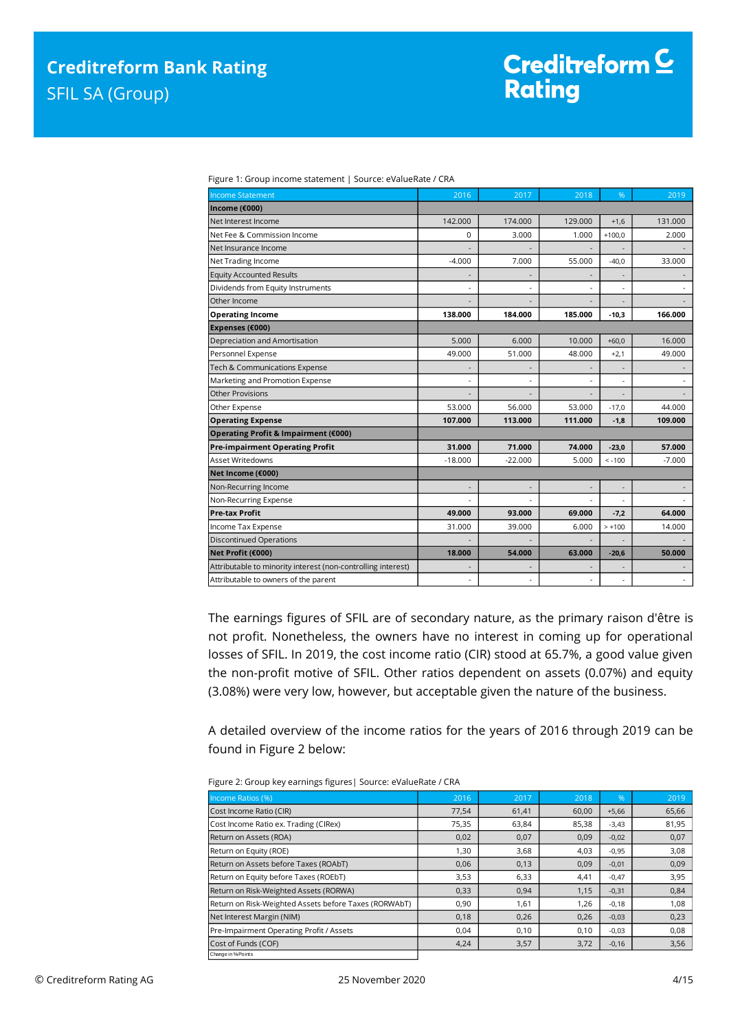| <b>Income Statement</b>                                      | 2016           | 2017      | 2018    | %        | 2019     |
|--------------------------------------------------------------|----------------|-----------|---------|----------|----------|
| Income (€000)                                                |                |           |         |          |          |
| Net Interest Income                                          | 142,000        | 174,000   | 129,000 | $+1,6$   | 131.000  |
| Net Fee & Commission Income                                  | 0              | 3.000     | 1.000   | $+100,0$ | 2.000    |
| Net Insurance Income                                         |                |           |         |          |          |
| Net Trading Income                                           | $-4.000$       | 7.000     | 55.000  | $-40.0$  | 33,000   |
| <b>Equity Accounted Results</b>                              |                |           |         |          |          |
| Dividends from Equity Instruments                            |                |           |         |          |          |
| Other Income                                                 |                |           |         |          |          |
| <b>Operating Income</b>                                      | 138.000        | 184.000   | 185.000 | $-10,3$  | 166.000  |
| Expenses (€000)                                              |                |           |         |          |          |
| Depreciation and Amortisation                                | 5.000          | 6.000     | 10.000  | $+60,0$  | 16.000   |
| Personnel Expense                                            | 49.000         | 51.000    | 48.000  | $+2,1$   | 49.000   |
| Tech & Communications Expense                                | ٠              |           |         |          |          |
| Marketing and Promotion Expense                              |                |           |         |          |          |
| Other Provisions                                             |                |           |         |          |          |
| Other Expense                                                | 53.000         | 56.000    | 53.000  | $-17,0$  | 44.000   |
| <b>Operating Expense</b>                                     | 107.000        | 113.000   | 111.000 | $-1,8$   | 109.000  |
| Operating Profit & Impairment (€000)                         |                |           |         |          |          |
| <b>Pre-impairment Operating Profit</b>                       | 31.000         | 71.000    | 74.000  | $-23,0$  | 57.000   |
| Asset Writedowns                                             | $-18.000$      | $-22.000$ | 5.000   | $< -100$ | $-7.000$ |
| Net Income (€000)                                            |                |           |         |          |          |
| Non-Recurring Income                                         | $\overline{a}$ |           |         |          |          |
| Non-Recurring Expense                                        |                |           |         |          |          |
| <b>Pre-tax Profit</b>                                        | 49.000         | 93.000    | 69.000  | $-7,2$   | 64.000   |
| Income Tax Expense                                           | 31.000         | 39.000    | 6.000   | $> +100$ | 14.000   |
| <b>Discontinued Operations</b>                               |                |           |         |          |          |
| Net Profit (€000)                                            | 18.000         | 54.000    | 63.000  | $-20,6$  | 50.000   |
| Attributable to minority interest (non-controlling interest) |                |           |         |          |          |
| Attributable to owners of the parent                         | ä,             |           |         |          |          |

Figure 1: Group income statement | Source: eValueRate / CRA

The earnings figures of SFIL are of secondary nature, as the primary raison d'être is not profit. Nonetheless, the owners have no interest in coming up for operational losses of SFIL. In 2019, the cost income ratio (CIR) stood at 65.7%, a good value given the non-profit motive of SFIL. Other ratios dependent on assets (0.07%) and equity (3.08%) were very low, however, but acceptable given the nature of the business.

A detailed overview of the income ratios for the years of 2016 through 2019 can be found in Figure 2 below:

| Income Ratios (%)                                     | 2016  | 2017  | 2018  | $\frac{9}{6}$ | 2019  |
|-------------------------------------------------------|-------|-------|-------|---------------|-------|
| Cost Income Ratio (CIR)                               | 77,54 | 61,41 | 60,00 | $+5,66$       | 65,66 |
| Cost Income Ratio ex. Trading (CIRex)                 | 75,35 | 63,84 | 85,38 | $-3,43$       | 81,95 |
| Return on Assets (ROA)                                | 0,02  | 0,07  | 0,09  | $-0,02$       | 0,07  |
| Return on Equity (ROE)                                | 1,30  | 3,68  | 4,03  | $-0,95$       | 3,08  |
| Return on Assets before Taxes (ROAbT)                 | 0,06  | 0,13  | 0,09  | $-0,01$       | 0,09  |
| Return on Equity before Taxes (ROEbT)                 | 3,53  | 6,33  | 4,41  | $-0,47$       | 3,95  |
| Return on Risk-Weighted Assets (RORWA)                | 0,33  | 0,94  | 1,15  | $-0,31$       | 0,84  |
| Return on Risk-Weighted Assets before Taxes (RORWAbT) | 0,90  | 1,61  | 1,26  | $-0,18$       | 1,08  |
| Net Interest Margin (NIM)                             | 0,18  | 0,26  | 0,26  | $-0,03$       | 0,23  |
| Pre-Impairment Operating Profit / Assets              | 0,04  | 0,10  | 0,10  | $-0,03$       | 0,08  |
| Cost of Funds (COF)                                   | 4,24  | 3,57  | 3,72  | $-0,16$       | 3,56  |
| Change in % Points                                    |       |       |       |               |       |

Figure 2: Group key earnings figures| Source: eValueRate / CRA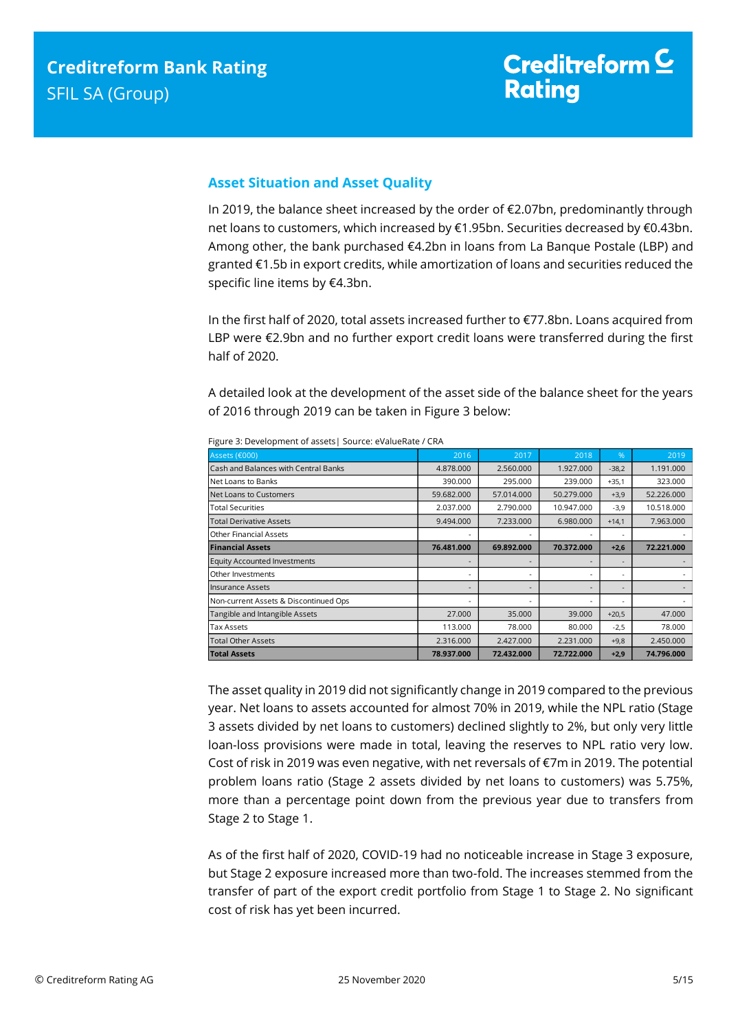## <span id="page-4-0"></span>**Asset Situation and Asset Quality**

In 2019, the balance sheet increased by the order of €2.07bn, predominantly through net loans to customers, which increased by €1.95bn. Securities decreased by €0.43bn. Among other, the bank purchased €4.2bn in loans from La Banque Postale (LBP) and granted €1.5b in export credits, while amortization of loans and securities reduced the specific line items by €4.3bn.

In the first half of 2020, total assets increased further to €77.8bn. Loans acquired from LBP were €2.9bn and no further export credit loans were transferred during the first half of 2020.

A detailed look at the development of the asset side of the balance sheet for the years of 2016 through 2019 can be taken in Figure 3 below:

| Assets (€000)                         | 2016       | 2017       | 2018       | %                        | 2019       |
|---------------------------------------|------------|------------|------------|--------------------------|------------|
| Cash and Balances with Central Banks  | 4.878.000  | 2.560.000  | 1.927.000  | $-38,2$                  | 1.191.000  |
| Net Loans to Banks                    | 390.000    | 295.000    | 239.000    | $+35,1$                  | 323.000    |
| Net Loans to Customers                | 59.682.000 | 57.014.000 | 50.279.000 | $+3,9$                   | 52.226.000 |
| <b>Total Securities</b>               | 2.037.000  | 2.790.000  | 10.947.000 | $-3,9$                   | 10.518.000 |
| <b>Total Derivative Assets</b>        | 9.494.000  | 7.233.000  | 6.980.000  | $+14,1$                  | 7.963.000  |
| <b>Other Financial Assets</b>         |            |            |            |                          |            |
| <b>Financial Assets</b>               | 76.481.000 | 69.892.000 | 70.372.000 | $+2,6$                   | 72.221.000 |
| <b>Equity Accounted Investments</b>   |            |            |            |                          |            |
| Other Investments                     | ٠          |            |            | ٠                        |            |
| Insurance Assets                      | ٠          |            |            | $\overline{\phantom{a}}$ |            |
| Non-current Assets & Discontinued Ops | ٠          |            |            |                          |            |
| Tangible and Intangible Assets        | 27,000     | 35,000     | 39,000     | $+20,5$                  | 47,000     |
| <b>Tax Assets</b>                     | 113.000    | 78.000     | 80.000     | $-2,5$                   | 78.000     |
| <b>Total Other Assets</b>             | 2.316.000  | 2.427.000  | 2.231.000  | $+9,8$                   | 2.450.000  |
| <b>Total Assets</b>                   | 78.937.000 | 72.432.000 | 72.722.000 | $+2,9$                   | 74.796.000 |

Figure 3: Development of assets| Source: eValueRate / CRA

The asset quality in 2019 did not significantly change in 2019 compared to the previous year. Net loans to assets accounted for almost 70% in 2019, while the NPL ratio (Stage 3 assets divided by net loans to customers) declined slightly to 2%, but only very little loan-loss provisions were made in total, leaving the reserves to NPL ratio very low. Cost of risk in 2019 was even negative, with net reversals of €7m in 2019. The potential problem loans ratio (Stage 2 assets divided by net loans to customers) was 5.75%, more than a percentage point down from the previous year due to transfers from Stage 2 to Stage 1.

As of the first half of 2020, COVID-19 had no noticeable increase in Stage 3 exposure, but Stage 2 exposure increased more than two-fold. The increases stemmed from the transfer of part of the export credit portfolio from Stage 1 to Stage 2. No significant cost of risk has yet been incurred.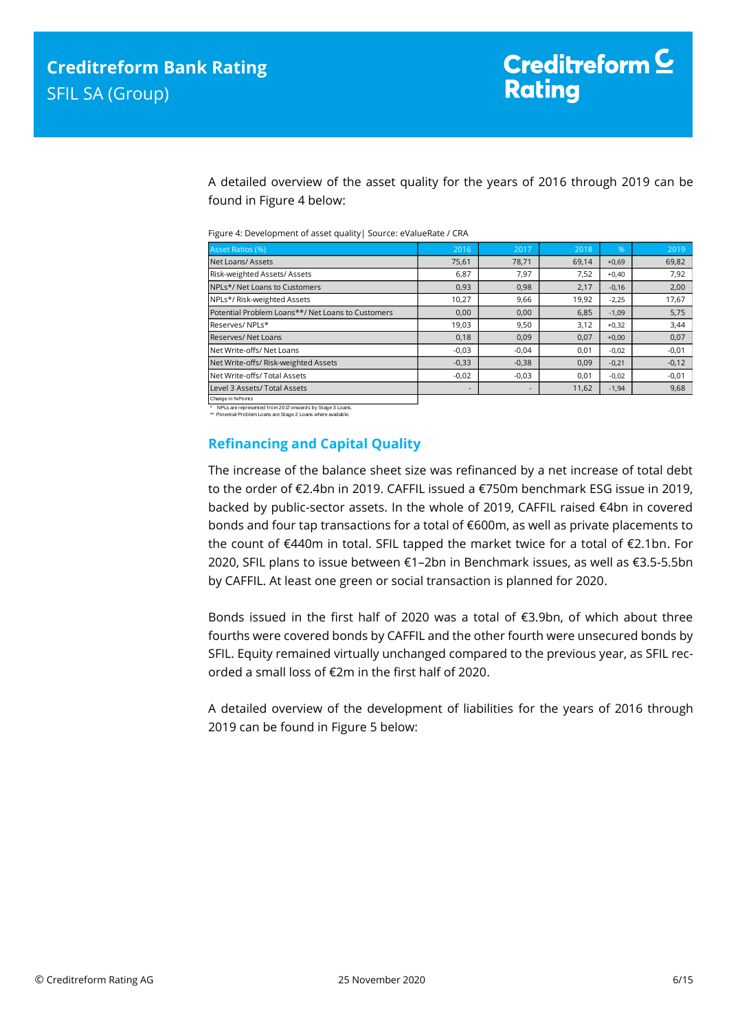A detailed overview of the asset quality for the years of 2016 through 2019 can be found in Figure 4 below:

| Figure 4: Development of asset quality   Source: eValueRate / CRA |  |
|-------------------------------------------------------------------|--|
|-------------------------------------------------------------------|--|

| <b>Asset Ratios (%)</b>                           | 2016                     | 2017    | 2018  | %       | 2019    |
|---------------------------------------------------|--------------------------|---------|-------|---------|---------|
| Net Loans/Assets                                  | 75,61                    | 78.71   | 69.14 | $+0,69$ | 69,82   |
| Risk-weighted Assets/Assets                       | 6,87                     | 7,97    | 7,52  | $+0,40$ | 7,92    |
| NPLs*/ Net Loans to Customers                     | 0,93                     | 0,98    | 2,17  | $-0,16$ | 2,00    |
| NPLs*/ Risk-weighted Assets                       | 10,27                    | 9,66    | 19,92 | $-2,25$ | 17,67   |
| Potential Problem Loans**/ Net Loans to Customers | 0,00                     | 0,00    | 6,85  | $-1,09$ | 5,75    |
| Reserves/NPLs*                                    | 19,03                    | 9,50    | 3,12  | $+0,32$ | 3,44    |
| <b>Reserves/ Net Loans</b>                        | 0,18                     | 0,09    | 0,07  | $+0,00$ | 0,07    |
| Net Write-offs/ Net Loans                         | $-0,03$                  | $-0.04$ | 0,01  | $-0,02$ | $-0,01$ |
| Net Write-offs/ Risk-weighted Assets              | $-0,33$                  | $-0,38$ | 0,09  | $-0,21$ | $-0,12$ |
| Net Write-offs/ Total Assets                      | $-0,02$                  | $-0,03$ | 0,01  | $-0,02$ | $-0,01$ |
| Level 3 Assets/ Total Assets                      | $\overline{\phantom{a}}$ |         | 11,62 | $-1,94$ | 9,68    |
| Change in % Points                                |                          |         |       |         |         |

\* NPLs are represented from 2017 onwards by Stage 3 Loans. \*\* Potential Problem Loans are Stage 2 Loans where available.

## <span id="page-5-0"></span>**Refinancing and Capital Quality**

The increase of the balance sheet size was refinanced by a net increase of total debt to the order of €2.4bn in 2019. CAFFIL issued a €750m benchmark ESG issue in 2019, backed by public-sector assets. In the whole of 2019, CAFFIL raised €4bn in covered bonds and four tap transactions for a total of €600m, as well as private placements to the count of €440m in total. SFIL tapped the market twice for a total of €2.1bn. For 2020, SFIL plans to issue between €1–2bn in Benchmark issues, as well as €3.5-5.5bn by CAFFIL. At least one green or social transaction is planned for 2020.

Bonds issued in the first half of 2020 was a total of €3.9bn, of which about three fourths were covered bonds by CAFFIL and the other fourth were unsecured bonds by SFIL. Equity remained virtually unchanged compared to the previous year, as SFIL recorded a small loss of €2m in the first half of 2020.

A detailed overview of the development of liabilities for the years of 2016 through 2019 can be found in Figure 5 below: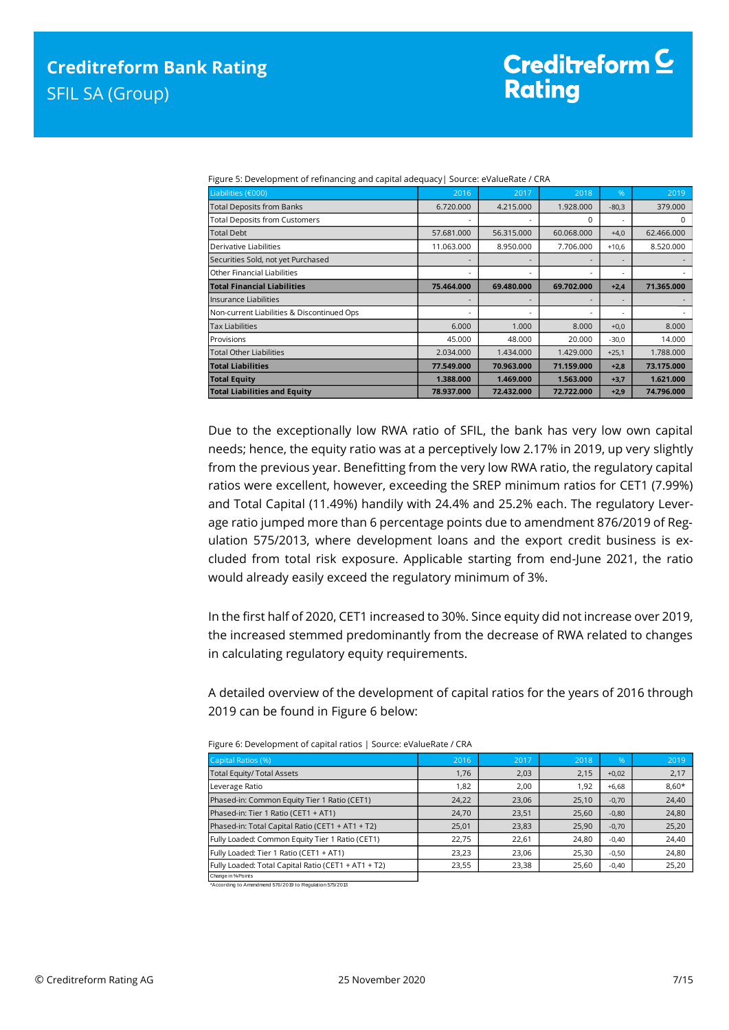| Liabilities (€000)                         | 2016       | 2017       | 2018       | $\frac{9}{6}$ | 2019       |
|--------------------------------------------|------------|------------|------------|---------------|------------|
| <b>Total Deposits from Banks</b>           | 6.720.000  | 4.215.000  | 1.928.000  | $-80,3$       | 379.000    |
| <b>Total Deposits from Customers</b>       |            |            | $\Omega$   |               | 0          |
| <b>Total Debt</b>                          | 57.681.000 | 56.315.000 | 60.068.000 | $+4,0$        | 62.466.000 |
| Derivative Liabilities                     | 11.063.000 | 8.950.000  | 7.706.000  | $+10,6$       | 8.520.000  |
| Securities Sold, not yet Purchased         | ۰          |            |            |               |            |
| Other Financial Liabilities                | ۰          |            |            |               |            |
| <b>Total Financial Liabilities</b>         | 75.464.000 | 69.480.000 | 69.702.000 | $+2,4$        | 71.365.000 |
| llnsurance Liabilities                     | ٠          |            |            |               |            |
| Non-current Liabilities & Discontinued Ops | ۰          |            |            |               |            |
| <b>Tax Liabilities</b>                     | 6.000      | 1.000      | 8.000      | $+0,0$        | 8.000      |
| Provisions                                 | 45.000     | 48.000     | 20,000     | $-30,0$       | 14.000     |
| Total Other Liabilities                    | 2.034.000  | 1.434.000  | 1.429.000  | $+25,1$       | 1.788.000  |
| <b>Total Liabilities</b>                   | 77.549.000 | 70.963.000 | 71.159.000 | $+2,8$        | 73.175.000 |
| <b>Total Equity</b>                        | 1.388.000  | 1.469.000  | 1.563.000  | $+3,7$        | 1.621.000  |
| <b>Total Liabilities and Equity</b>        | 78.937.000 | 72.432.000 | 72.722.000 | $+2,9$        | 74.796.000 |

Figure 5: Development of refinancing and capital adequacy| Source: eValueRate / CRA

Due to the exceptionally low RWA ratio of SFIL, the bank has very low own capital needs; hence, the equity ratio was at a perceptively low 2.17% in 2019, up very slightly from the previous year. Benefitting from the very low RWA ratio, the regulatory capital ratios were excellent, however, exceeding the SREP minimum ratios for CET1 (7.99%) and Total Capital (11.49%) handily with 24.4% and 25.2% each. The regulatory Leverage ratio jumped more than 6 percentage points due to amendment 876/2019 of Regulation 575/2013, where development loans and the export credit business is excluded from total risk exposure. Applicable starting from end-June 2021, the ratio would already easily exceed the regulatory minimum of 3%.

In the first half of 2020, CET1 increased to 30%. Since equity did not increase over 2019, the increased stemmed predominantly from the decrease of RWA related to changes in calculating regulatory equity requirements.

A detailed overview of the development of capital ratios for the years of 2016 through 2019 can be found in Figure 6 below:

| Capital Ratios (%)                                  | 2016  | 2017  | 2018  | $\sqrt{96}$ | 2019    |
|-----------------------------------------------------|-------|-------|-------|-------------|---------|
| <b>Total Equity/ Total Assets</b>                   | 1,76  | 2,03  | 2,15  | $+0.02$     | 2,17    |
| Leverage Ratio                                      | 1,82  | 2,00  | 1,92  | $+6,68$     | $8,60*$ |
| Phased-in: Common Equity Tier 1 Ratio (CET1)        | 24,22 | 23,06 | 25,10 | $-0,70$     | 24,40   |
| Phased-in: Tier 1 Ratio (CET1 + AT1)                | 24,70 | 23,51 | 25,60 | $-0,80$     | 24,80   |
| Phased-in: Total Capital Ratio (CET1 + AT1 + T2)    | 25,01 | 23,83 | 25,90 | $-0.70$     | 25,20   |
| Fully Loaded: Common Equity Tier 1 Ratio (CET1)     | 22.75 | 22.61 | 24,80 | $-0.40$     | 24,40   |
| Fully Loaded: Tier 1 Ratio (CET1 + AT1)             | 23,23 | 23,06 | 25,30 | $-0,50$     | 24,80   |
| Fully Loaded: Total Capital Ratio (CET1 + AT1 + T2) | 23,55 | 23,38 | 25,60 | $-0,40$     | 25,20   |
| Change in % Points                                  |       |       |       |             |         |

Figure 6: Development of capital ratios | Source: eValueRate / CRA

\*According to Amendmend 576/2019 to Regulation 575/2013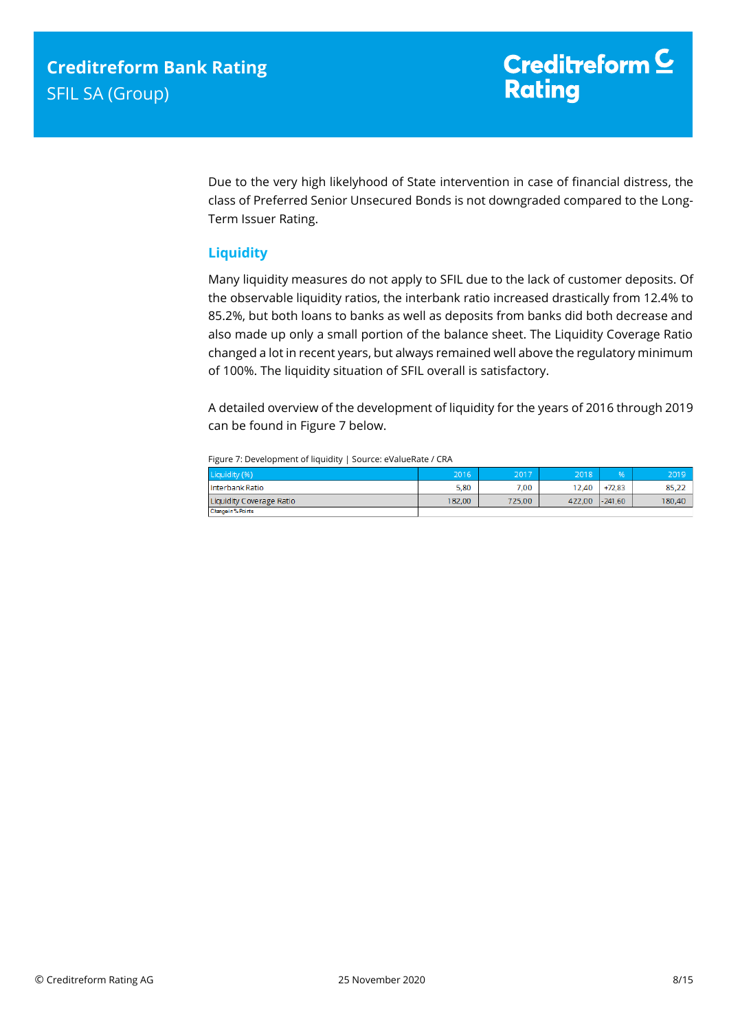Due to the very high likelyhood of State intervention in case of financial distress, the class of Preferred Senior Unsecured Bonds is not downgraded compared to the Long-Term Issuer Rating.

## <span id="page-7-0"></span>**Liquidity**

Many liquidity measures do not apply to SFIL due to the lack of customer deposits. Of the observable liquidity ratios, the interbank ratio increased drastically from 12.4% to 85.2%, but both loans to banks as well as deposits from banks did both decrease and also made up only a small portion of the balance sheet. The Liquidity Coverage Ratio changed a lot in recent years, but always remained well above the regulatory minimum of 100%. The liquidity situation of SFIL overall is satisfactory.

A detailed overview of the development of liquidity for the years of 2016 through 2019 can be found in Figure 7 below.

Figure 7: Development of liquidity | Source: eValueRate / CRA

| Liquidity (%)            | 2016   | 2017   | 2018   | 96.       | 2019   |
|--------------------------|--------|--------|--------|-----------|--------|
| Interbank Ratio          | 5.80   | 7.00   | 12.40  | $+72.83$  | 85,22  |
| Liquidity Coverage Ratio | 182,00 | 725,00 | 422,00 | $-241.60$ | 180,40 |
| Change in % Points       |        |        |        |           |        |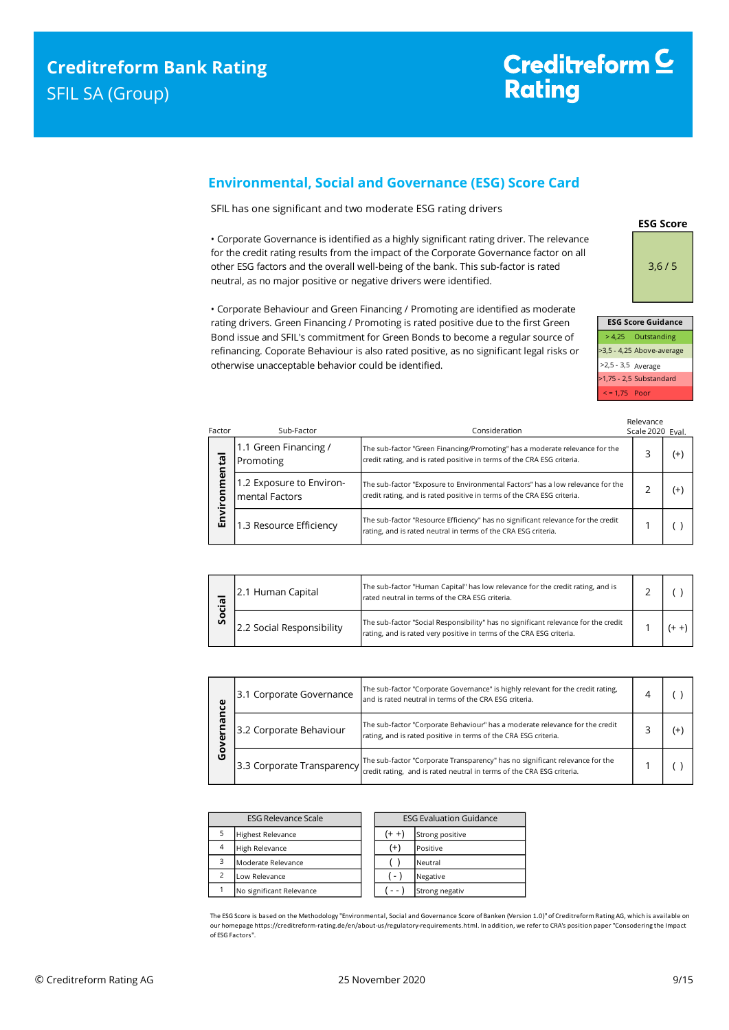## <span id="page-8-0"></span>**Environmental, Social and Governance (ESG) Score Card**

SFIL has one significant and two moderate ESG rating drivers

• Corporate Governance is identified as a highly significant rating driver. The relevance for the credit rating results from the impact of the Corporate Governance factor on all other ESG factors and the overall well-being of the bank. This sub-factor is rated neutral, as no major positive or negative drivers were identified.

rating drivers. Green Financing / Promoting is rated positive due to the first Green Bond issue and SFIL's commitment for Green Bonds to become a regular source of refinancing. Coporate Behaviour is also rated positive, as no significant legal risks or otherwise unacceptable behavior could be identified.

• Corporate Behaviour and Green Financing / Promoting are identified as moderate

|                   | <b>ESG Score Guidance</b>                         |
|-------------------|---------------------------------------------------|
|                   | > 4,25 Outstanding                                |
|                   | >3,5 - 4,25 Above-average                         |
|                   | $>2,5 - 3,5$ Average<br>$>1,75 - 2,5$ Substandard |
|                   |                                                   |
| $\le$ = 1,75 Poor |                                                   |

**ESG Score**

3,6 / 5

| Factor                        | Sub-Factor                                 | Consideration                                                                                                                                            | Relevance<br>Scale 2020 Eval. |          |
|-------------------------------|--------------------------------------------|----------------------------------------------------------------------------------------------------------------------------------------------------------|-------------------------------|----------|
| $\overline{\mathbf{a}}$<br>έë | 1.1 Green Financing /<br>Promoting         | The sub-factor "Green Financing/Promoting" has a moderate relevance for the<br>credit rating, and is rated positive in terms of the CRA ESG criteria.    |                               | $(+)$    |
| ξ<br>ē                        | 1.2 Exposure to Environ-<br>mental Factors | The sub-factor "Exposure to Environmental Factors" has a low relevance for the<br>credit rating, and is rated positive in terms of the CRA ESG criteria. |                               | $^{(+)}$ |
| Envir                         | 1.3 Resource Efficiency                    | The sub-factor "Resource Efficiency" has no significant relevance for the credit<br>rating, and is rated neutral in terms of the CRA ESG criteria.       |                               |          |

| ᢐ<br>တိ | 2.1 Human Capital         | The sub-factor "Human Capital" has low relevance for the credit rating, and is<br>rated neutral in terms of the CRA ESG criteria.                          |  |  |
|---------|---------------------------|------------------------------------------------------------------------------------------------------------------------------------------------------------|--|--|
|         | 2.2 Social Responsibility | The sub-factor "Social Responsibility" has no significant relevance for the credit<br>rating, and is rated very positive in terms of the CRA ESG criteria. |  |  |

| ပ္ပ         | 3.1 Corporate Governance | The sub-factor "Corporate Governance" is highly relevant for the credit rating,<br>and is rated neutral in terms of the CRA ESG criteria.                       |  |
|-------------|--------------------------|-----------------------------------------------------------------------------------------------------------------------------------------------------------------|--|
| ᢐ<br>О<br>ט | 3.2 Corporate Behaviour  | The sub-factor "Corporate Behaviour" has a moderate relevance for the credit<br>rating, and is rated positive in terms of the CRA ESG criteria.                 |  |
|             |                          | The sub-factor "Corporate Transparency" has no significant relevance for the<br>[3.3 Corporate Transparency] [[[CRECTER TRANSPARED IN THE REAL ASSESS Criteria. |  |

| <b>ESG Relevance Scale</b> |                          | <b>ESG Evaluation Guidance</b> |                 |
|----------------------------|--------------------------|--------------------------------|-----------------|
| 5                          | <b>Highest Relevance</b> | $+ +$                          | Strong positive |
| $\overline{4}$             | High Relevance           | $^{(+)}$                       | Positive        |
| 3                          | Moderate Relevance       |                                | Neutral         |
|                            | Low Relevance            | $\overline{a}$                 | Negative        |
|                            | No significant Relevance | - -                            | Strong negativ  |

The ESG Score is based on the Methodology "Environmental, Social and Governance Score of Banken (Version 1.0)" of Creditreform Rating AG, which is available on our homepage https://creditreform-rating.de/en/about-us/regulatory-requirements.html. In addition, we refer to CRA's position paper "Consodering the Impact of ESG Factors".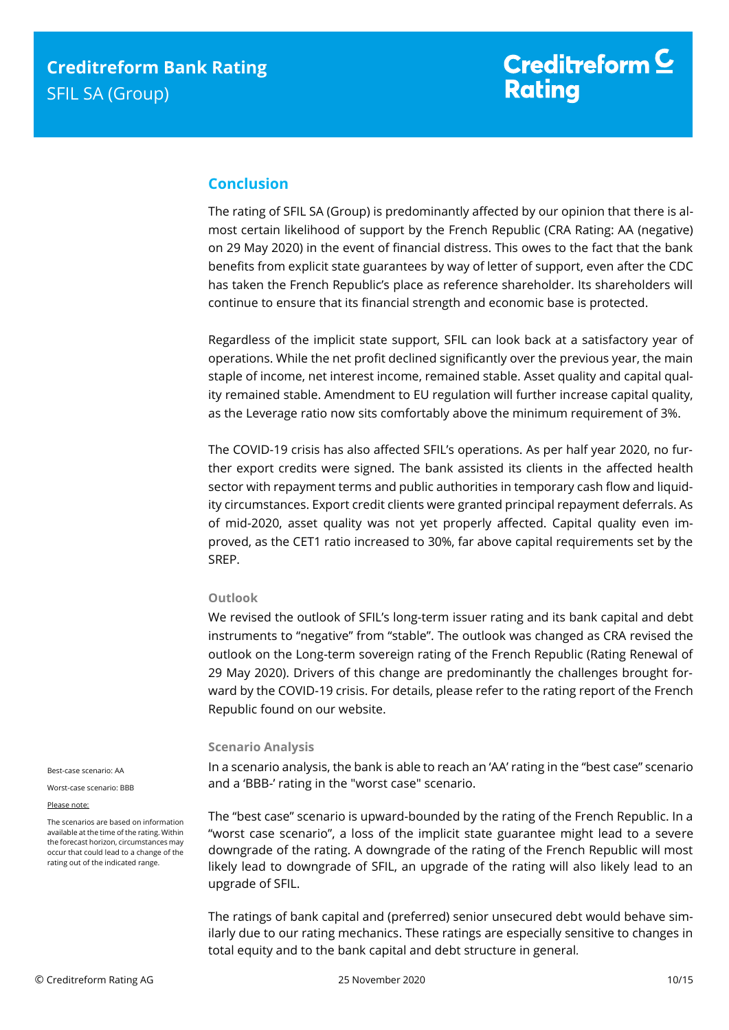# <span id="page-9-0"></span>**Conclusion**

The rating of SFIL SA (Group) is predominantly affected by our opinion that there is almost certain likelihood of support by the French Republic (CRA Rating: AA (negative) on 29 May 2020) in the event of financial distress. This owes to the fact that the bank benefits from explicit state guarantees by way of letter of support, even after the CDC has taken the French Republic's place as reference shareholder. Its shareholders will continue to ensure that its financial strength and economic base is protected.

Regardless of the implicit state support, SFIL can look back at a satisfactory year of operations. While the net profit declined significantly over the previous year, the main staple of income, net interest income, remained stable. Asset quality and capital quality remained stable. Amendment to EU regulation will further increase capital quality, as the Leverage ratio now sits comfortably above the minimum requirement of 3%.

The COVID-19 crisis has also affected SFIL's operations. As per half year 2020, no further export credits were signed. The bank assisted its clients in the affected health sector with repayment terms and public authorities in temporary cash flow and liquidity circumstances. Export credit clients were granted principal repayment deferrals. As of mid-2020, asset quality was not yet properly affected. Capital quality even improved, as the CET1 ratio increased to 30%, far above capital requirements set by the SREP.

### **Outlook**

We revised the outlook of SFIL's long-term issuer rating and its bank capital and debt instruments to "negative" from "stable". The outlook was changed as CRA revised the outlook on the Long-term sovereign rating of the French Republic (Rating Renewal of 29 May 2020). Drivers of this change are predominantly the challenges brought forward by the COVID-19 crisis. For details, please refer to the rating report of the French Republic found on our website.

#### **Scenario Analysis**

In a scenario analysis, the bank is able to reach an 'AA' rating in the "best case" scenario and a 'BBB-' rating in the "worst case" scenario.

The "best case" scenario is upward-bounded by the rating of the French Republic. In a "worst case scenario", a loss of the implicit state guarantee might lead to a severe downgrade of the rating. A downgrade of the rating of the French Republic will most likely lead to downgrade of SFIL, an upgrade of the rating will also likely lead to an upgrade of SFIL.

The ratings of bank capital and (preferred) senior unsecured debt would behave similarly due to our rating mechanics. These ratings are especially sensitive to changes in total equity and to the bank capital and debt structure in general*.*

Best-case scenario: AA

Worst-case scenario: BBB

#### Please note:

The scenarios are based on information available at the time of the rating. Within the forecast horizon, circumstances may occur that could lead to a change of the rating out of the indicated range.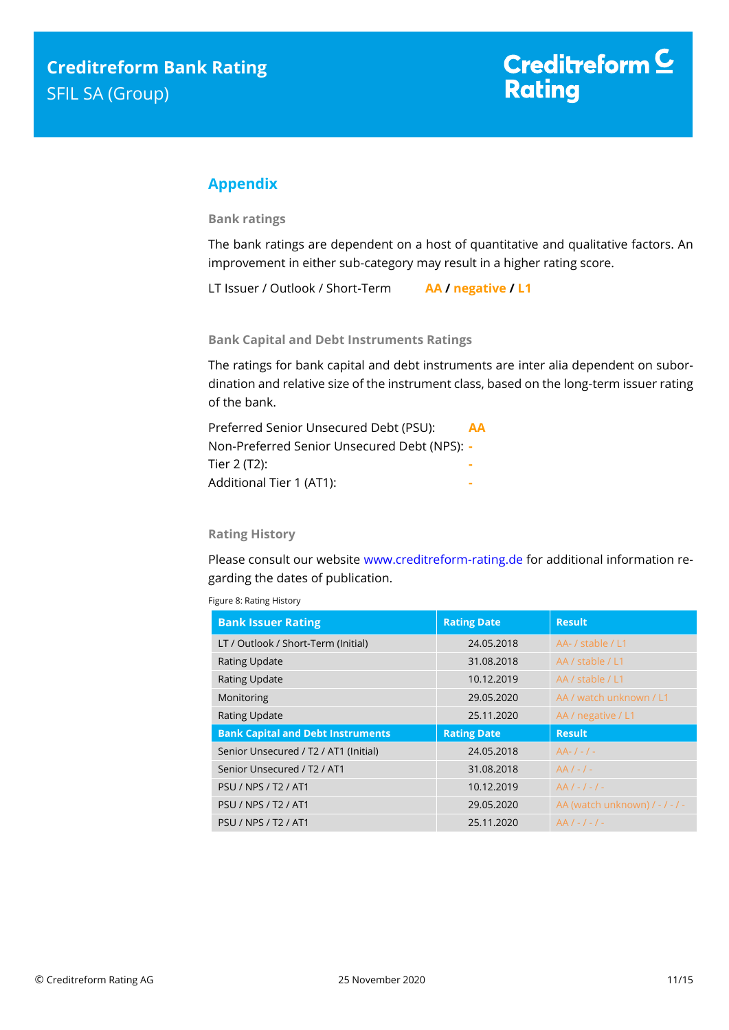# <span id="page-10-0"></span>**Appendix**

**Bank ratings**

The bank ratings are dependent on a host of quantitative and qualitative factors. An improvement in either sub-category may result in a higher rating score.

LT Issuer / Outlook / Short-Term **AA / negative / L1**

**Bank Capital and Debt Instruments Ratings**

The ratings for bank capital and debt instruments are inter alia dependent on subordination and relative size of the instrument class, based on the long-term issuer rating of the bank.

| Preferred Senior Unsecured Debt (PSU):       | AA |
|----------------------------------------------|----|
| Non-Preferred Senior Unsecured Debt (NPS): - |    |
| Tier 2 (T2):                                 |    |
| Additional Tier 1 (AT1):                     |    |
|                                              |    |

## **Rating History**

Please consult our website [www.creditreform-rating.de](http://www.creditreform-rating.de/) for additional information regarding the dates of publication.

| <b>Bank Issuer Rating</b>                | <b>Rating Date</b> | <b>Result</b>                  |  |  |  |
|------------------------------------------|--------------------|--------------------------------|--|--|--|
| LT / Outlook / Short-Term (Initial)      | 24.05.2018         | AA- / stable / L1              |  |  |  |
| <b>Rating Update</b>                     | 31.08.2018         | AA / stable / L1               |  |  |  |
| <b>Rating Update</b>                     | 10.12.2019         | AA / stable / L1               |  |  |  |
| Monitoring                               | 29.05.2020         | AA / watch unknown / L1        |  |  |  |
| <b>Rating Update</b>                     | 25.11.2020         | AA / negative / L1             |  |  |  |
| <b>Bank Capital and Debt Instruments</b> | <b>Rating Date</b> | <b>Result</b>                  |  |  |  |
| Senior Unsecured / T2 / AT1 (Initial)    | 24.05.2018         | $AA-/-/-$                      |  |  |  |
| Senior Unsecured / T2 / AT1              | 31.08.2018         | $AA/-/-$                       |  |  |  |
| <b>PSU / NPS / T2 / AT1</b>              | 10.12.2019         | $AA/-/-/ -$                    |  |  |  |
| <b>PSU / NPS / T2 / AT1</b>              | 29.05.2020         | AA (watch unknown) / - / - / - |  |  |  |
| <b>PSU / NPS / T2 / AT1</b>              | 25.11.2020         | $AA/-/-/-$                     |  |  |  |

Figure 8: Rating History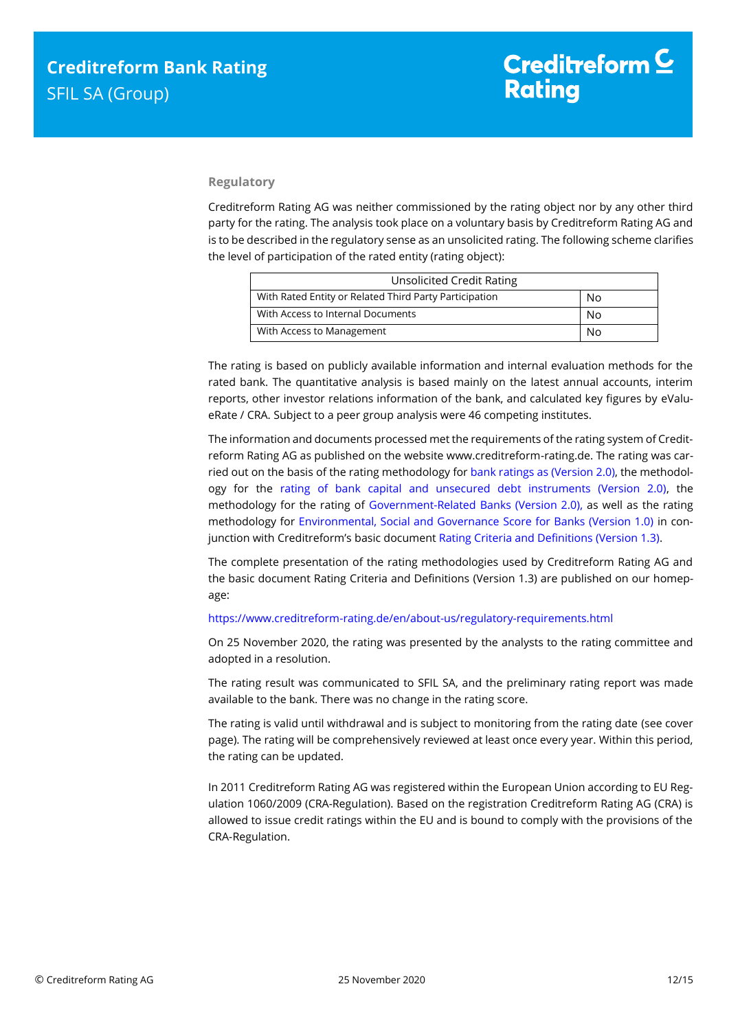## **Regulatory**

Creditreform Rating AG was neither commissioned by the rating object nor by any other third party for the rating. The analysis took place on a voluntary basis by Creditreform Rating AG and is to be described in the regulatory sense as an unsolicited rating. The following scheme clarifies the level of participation of the rated entity (rating object):

| <b>Unsolicited Credit Rating</b>                       |    |
|--------------------------------------------------------|----|
| With Rated Entity or Related Third Party Participation | No |
| With Access to Internal Documents                      | No |
| With Access to Management                              | N٥ |

The rating is based on publicly available information and internal evaluation methods for the rated bank. The quantitative analysis is based mainly on the latest annual accounts, interim reports, other investor relations information of the bank, and calculated key figures by eValueRate / CRA. Subject to a peer group analysis were 46 competing institutes.

The information and documents processed met the requirements of the rating system of Creditreform Rating AG as published on the website www.creditreform-rating.de. The rating was carried out on the basis of the rating methodology fo[r bank ratings as \(Version 2.0\),](https://www.creditreform-rating.de/en/about-us/regulatory-requirements.html?file=files/content/downloads/Externes%20Rating/Regulatorische%20Anforderungen/EN/Ratingmethodiken%20EN/Rating%20Methodology%20Bank%20Ratings%20v2.0.pdf) the methodology for the [rating of bank capital and unsecured debt instruments \(Version 2.0\),](https://www.creditreform-rating.de/en/about-us/regulatory-requirements.html?file=files/content/downloads/Externes%20Rating/Regulatorische%20Anforderungen/EN/Ratingmethodiken%20EN/Bank%20Capital%20and%20Unsecured%20Debt%20Instruments%20Methodology.pdf) the methodology for the rating of [Government-Related Banks \(Version 2.0\),](https://www.creditreform-rating.de/en/about-us/regulatory-requirements.html?file=files/content/downloads/Externes%20Rating/Regulatorische%20Anforderungen/EN/Ratingmethodiken%20EN/Sub-Methodology%20-%20Government-Related%20Banks.pdf) as well as the rating methodology for [Environmental, Social and Governance Score for Banks \(Version 1.0\)](https://www.creditreform-rating.de/en/about-us/regulatory-requirements.html?file=files/content/downloads/Externes%20Rating/Regulatorische%20Anforderungen/EN/Ratingmethodiken%20EN/Rating%20Methodology%20ESG%20v1.0.pdf) in conjunction with Creditreform's basic documen[t Rating Criteria and Definitions \(Version 1.3\).](https://www.creditreform-rating.de/en/about-us/regulatory-requirements.html?file=files/content/downloads/Externes%20Rating/Regulatorische%20Anforderungen/EN/Ratingmethodiken%20EN/CRAG%20Rating%20Criteria%20and%20Definitions.pdf)

The complete presentation of the rating methodologies used by Creditreform Rating AG and the basic document Rating Criteria and Definitions (Version 1.3) are published on our homepage:

#### <https://www.creditreform-rating.de/en/about-us/regulatory-requirements.html>

On 25 November 2020, the rating was presented by the analysts to the rating committee and adopted in a resolution.

The rating result was communicated to SFIL SA, and the preliminary rating report was made available to the bank. There was no change in the rating score.

The rating is valid until withdrawal and is subject to monitoring from the rating date (see cover page). The rating will be comprehensively reviewed at least once every year. Within this period, the rating can be updated.

In 2011 Creditreform Rating AG was registered within the European Union according to EU Regulation 1060/2009 (CRA-Regulation). Based on the registration Creditreform Rating AG (CRA) is allowed to issue credit ratings within the EU and is bound to comply with the provisions of the CRA-Regulation.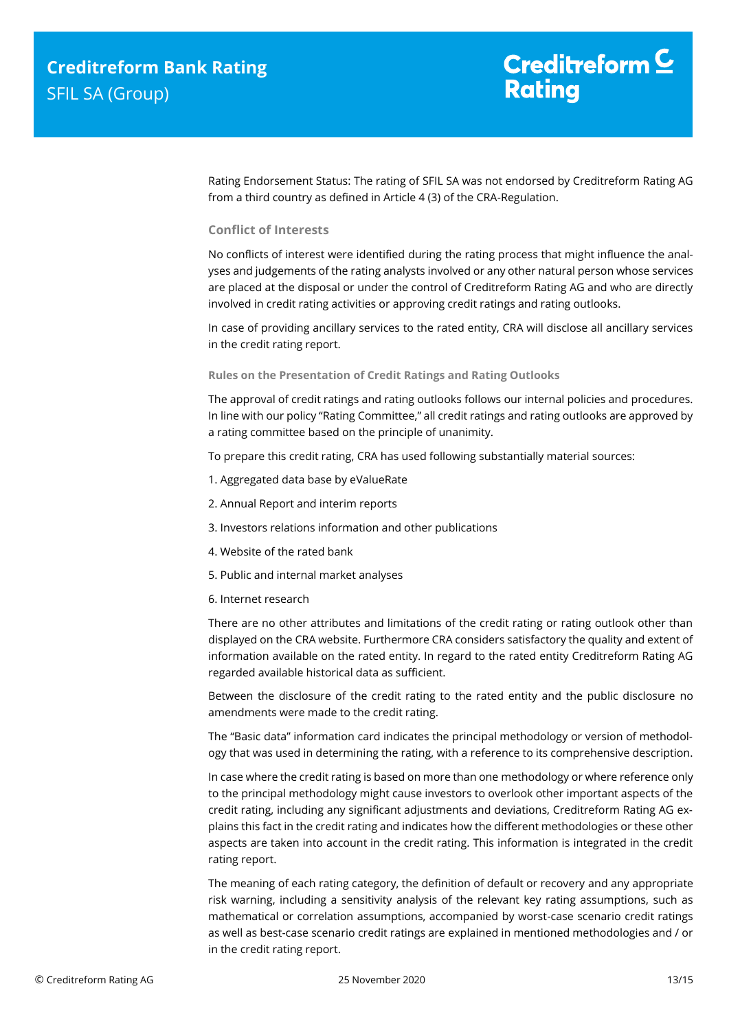# Creditreform  $C$ **Rating**

Rating Endorsement Status: The rating of SFIL SA was not endorsed by Creditreform Rating AG from a third country as defined in Article 4 (3) of the CRA-Regulation.

### **Conflict of Interests**

No conflicts of interest were identified during the rating process that might influence the analyses and judgements of the rating analysts involved or any other natural person whose services are placed at the disposal or under the control of Creditreform Rating AG and who are directly involved in credit rating activities or approving credit ratings and rating outlooks.

In case of providing ancillary services to the rated entity, CRA will disclose all ancillary services in the credit rating report.

#### **Rules on the Presentation of Credit Ratings and Rating Outlooks**

The approval of credit ratings and rating outlooks follows our internal policies and procedures. In line with our policy "Rating Committee," all credit ratings and rating outlooks are approved by a rating committee based on the principle of unanimity.

To prepare this credit rating, CRA has used following substantially material sources:

- 1. Aggregated data base by eValueRate
- 2. Annual Report and interim reports
- 3. Investors relations information and other publications
- 4. Website of the rated bank
- 5. Public and internal market analyses
- 6. Internet research

There are no other attributes and limitations of the credit rating or rating outlook other than displayed on the CRA website. Furthermore CRA considers satisfactory the quality and extent of information available on the rated entity. In regard to the rated entity Creditreform Rating AG regarded available historical data as sufficient.

Between the disclosure of the credit rating to the rated entity and the public disclosure no amendments were made to the credit rating.

The "Basic data" information card indicates the principal methodology or version of methodology that was used in determining the rating, with a reference to its comprehensive description.

In case where the credit rating is based on more than one methodology or where reference only to the principal methodology might cause investors to overlook other important aspects of the credit rating, including any significant adjustments and deviations, Creditreform Rating AG explains this fact in the credit rating and indicates how the different methodologies or these other aspects are taken into account in the credit rating. This information is integrated in the credit rating report.

The meaning of each rating category, the definition of default or recovery and any appropriate risk warning, including a sensitivity analysis of the relevant key rating assumptions, such as mathematical or correlation assumptions, accompanied by worst-case scenario credit ratings as well as best-case scenario credit ratings are explained in mentioned methodologies and / or in the credit rating report.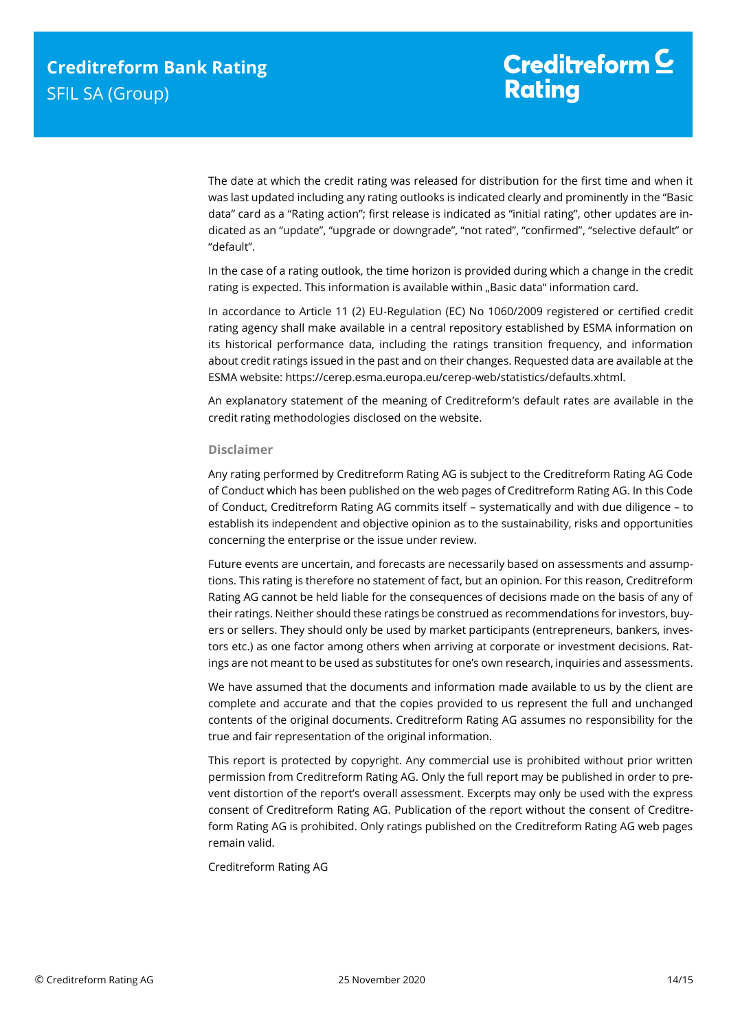The date at which the credit rating was released for distribution for the first time and when it was last updated including any rating outlooks is indicated clearly and prominently in the "Basic data" card as a "Rating action"; first release is indicated as "initial rating", other updates are indicated as an "update", "upgrade or downgrade", "not rated", "confirmed", "selective default" or "default".

In the case of a rating outlook, the time horizon is provided during which a change in the credit rating is expected. This information is available within "Basic data" information card.

In accordance to Article 11 (2) EU-Regulation (EC) No 1060/2009 registered or certified credit rating agency shall make available in a central repository established by ESMA information on its historical performance data, including the ratings transition frequency, and information about credit ratings issued in the past and on their changes. Requested data are available at the ESMA website: https://cerep.esma.europa.eu/cerep-web/statistics/defaults.xhtml.

An explanatory statement of the meaning of Creditreform's default rates are available in the credit rating methodologies disclosed on the website.

#### **Disclaimer**

Any rating performed by Creditreform Rating AG is subject to the Creditreform Rating AG Code of Conduct which has been published on the web pages of Creditreform Rating AG. In this Code of Conduct, Creditreform Rating AG commits itself – systematically and with due diligence – to establish its independent and objective opinion as to the sustainability, risks and opportunities concerning the enterprise or the issue under review.

Future events are uncertain, and forecasts are necessarily based on assessments and assumptions. This rating is therefore no statement of fact, but an opinion. For this reason, Creditreform Rating AG cannot be held liable for the consequences of decisions made on the basis of any of their ratings. Neither should these ratings be construed as recommendations for investors, buyers or sellers. They should only be used by market participants (entrepreneurs, bankers, investors etc.) as one factor among others when arriving at corporate or investment decisions. Ratings are not meant to be used as substitutes for one's own research, inquiries and assessments.

We have assumed that the documents and information made available to us by the client are complete and accurate and that the copies provided to us represent the full and unchanged contents of the original documents. Creditreform Rating AG assumes no responsibility for the true and fair representation of the original information.

This report is protected by copyright. Any commercial use is prohibited without prior written permission from Creditreform Rating AG. Only the full report may be published in order to prevent distortion of the report's overall assessment. Excerpts may only be used with the express consent of Creditreform Rating AG. Publication of the report without the consent of Creditreform Rating AG is prohibited. Only ratings published on the Creditreform Rating AG web pages remain valid.

Creditreform Rating AG